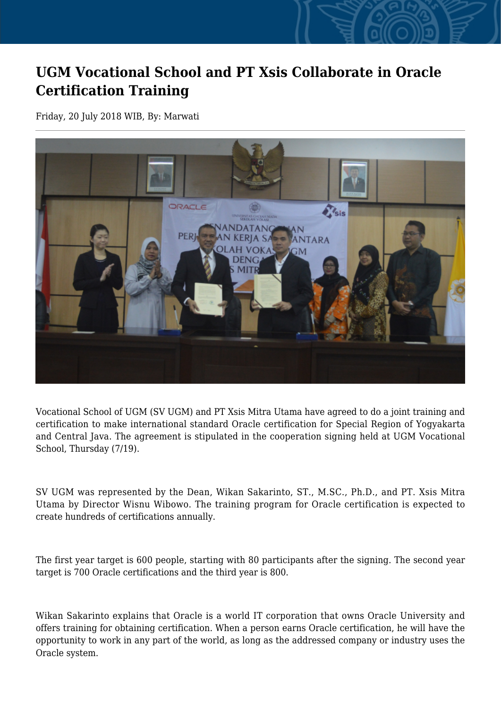## **UGM Vocational School and PT Xsis Collaborate in Oracle Certification Training**

Friday, 20 July 2018 WIB, By: Marwati



Vocational School of UGM (SV UGM) and PT Xsis Mitra Utama have agreed to do a joint training and certification to make international standard Oracle certification for Special Region of Yogyakarta and Central Java. The agreement is stipulated in the cooperation signing held at UGM Vocational School, Thursday (7/19).

SV UGM was represented by the Dean, Wikan Sakarinto, ST., M.SC., Ph.D., and PT. Xsis Mitra Utama by Director Wisnu Wibowo. The training program for Oracle certification is expected to create hundreds of certifications annually.

The first year target is 600 people, starting with 80 participants after the signing. The second year target is 700 Oracle certifications and the third year is 800.

Wikan Sakarinto explains that Oracle is a world IT corporation that owns Oracle University and offers training for obtaining certification. When a person earns Oracle certification, he will have the opportunity to work in any part of the world, as long as the addressed company or industry uses the Oracle system.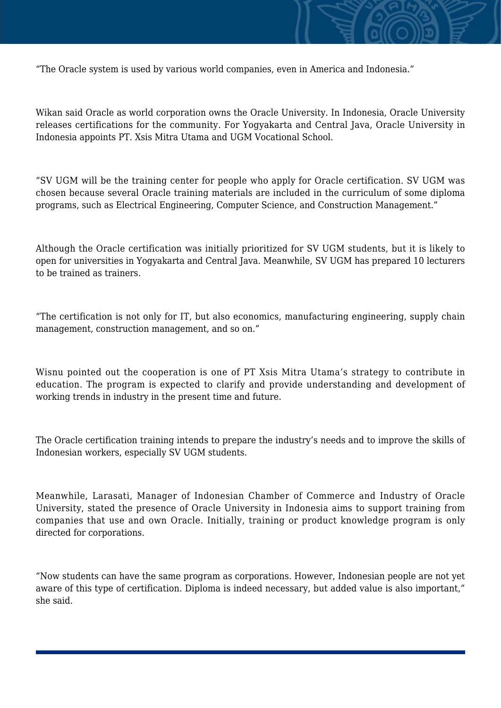

"The Oracle system is used by various world companies, even in America and Indonesia."

Wikan said Oracle as world corporation owns the Oracle University. In Indonesia, Oracle University releases certifications for the community. For Yogyakarta and Central Java, Oracle University in Indonesia appoints PT. Xsis Mitra Utama and UGM Vocational School.

"SV UGM will be the training center for people who apply for Oracle certification. SV UGM was chosen because several Oracle training materials are included in the curriculum of some diploma programs, such as Electrical Engineering, Computer Science, and Construction Management."

Although the Oracle certification was initially prioritized for SV UGM students, but it is likely to open for universities in Yogyakarta and Central Java. Meanwhile, SV UGM has prepared 10 lecturers to be trained as trainers.

"The certification is not only for IT, but also economics, manufacturing engineering, supply chain management, construction management, and so on."

Wisnu pointed out the cooperation is one of PT Xsis Mitra Utama's strategy to contribute in education. The program is expected to clarify and provide understanding and development of working trends in industry in the present time and future.

The Oracle certification training intends to prepare the industry's needs and to improve the skills of Indonesian workers, especially SV UGM students.

Meanwhile, Larasati, Manager of Indonesian Chamber of Commerce and Industry of Oracle University, stated the presence of Oracle University in Indonesia aims to support training from companies that use and own Oracle. Initially, training or product knowledge program is only directed for corporations.

"Now students can have the same program as corporations. However, Indonesian people are not yet aware of this type of certification. Diploma is indeed necessary, but added value is also important," she said.